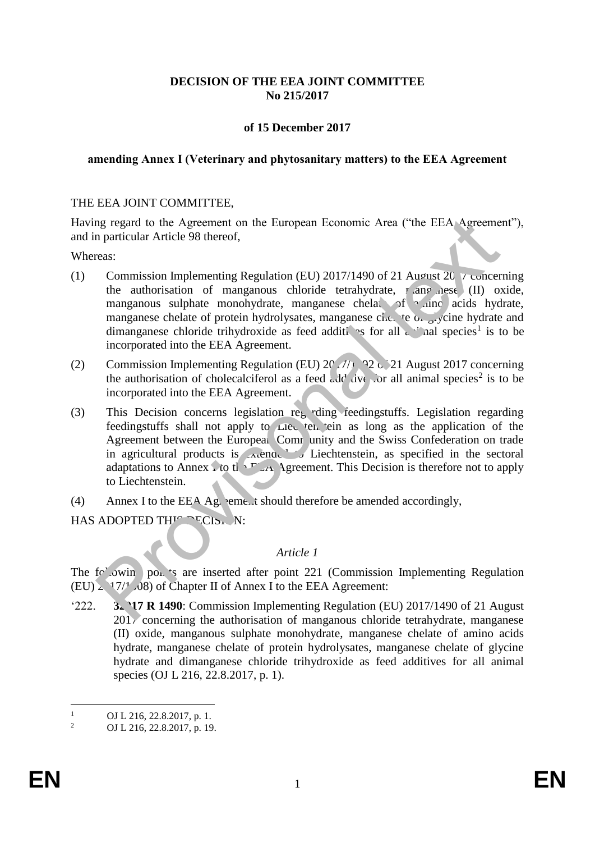# **DECISION OF THE EEA JOINT COMMITTEE No 215/2017**

# **of 15 December 2017**

#### **amending Annex I (Veterinary and phytosanitary matters) to the EEA Agreement**

#### THE EEA JOINT COMMITTEE,

Having regard to the Agreement on the European Economic Area ("the EEA Agreement"), and in particular Article 98 thereof,

Whereas:

- (1) Commission Implementing Regulation (EU) 2017/1490 of 21 August 2017 concerning the authorisation of manganous chloride tetrahydrate,  $r_{\text{amp}}$  and  $r_{\text{q}}$  (II) oxide, manganous sulphate monohydrate, manganese chelato of a inclusion acids hydrate, manganese chelate of protein hydrolysates, manganese che te of glycine hydrate and dimanganese chloride trihydroxide as feed additives for all and species<sup>1</sup> is to be incorporated into the EEA Agreement.
- (2) Commission Implementing Regulation (EU)  $201/1/192$  of 21 August 2017 concerning the authorisation of cholecalciferol as a feed  $\omega d/d$  dve for all animal species<sup>2</sup> is to be incorporated into the EEA Agreement.
- (3) This Decision concerns legislation regarding feedingstuffs. Legislation regarding feedingstuffs shall not apply to Lieu ten ein as long as the application of the Agreement between the European Community and the Swiss Confederation on trade in agricultural products is  $\lambda$  ended to Liechtenstein, as specified in the sectoral adaptations to Annex i to the E<sub>A</sub> Agreement. This Decision is therefore not to apply to Liechtenstein. mg regard to the Agreement on the European Economic Area ("the EEA Agreement"<br>
reaction and provision Implementing Regulation (EU) 2017/1490 of 21 August 20  $\gamma$  concerned<br>
commission Implementing Regulation (EU) 2017/149
- (4) Annex I to the EEA Agreement should therefore be amended accordingly,

HAS ADOPTED THIS DECISION:

## *Article 1*

The following points are inserted after point 221 (Commission Implementing Regulation (EU)  $\geq$  17/<sup>1</sup>/08) of Chapter II of Annex I to the EEA Agreement:

'222. **3. 17 R 1490**: Commission Implementing Regulation (EU) 2017/1490 of 21 August 2017 concerning the authorisation of manganous chloride tetrahydrate, manganese (II) oxide, manganous sulphate monohydrate, manganese chelate of amino acids hydrate, manganese chelate of protein hydrolysates, manganese chelate of glycine hydrate and dimanganese chloride trihydroxide as feed additives for all animal species (OJ L 216, 22.8.2017, p. 1).

 $\frac{1}{2}$  OJ L 216, 22.8.2017, p. 1.

<sup>2</sup> OJ L 216, 22.8.2017, p. 19.